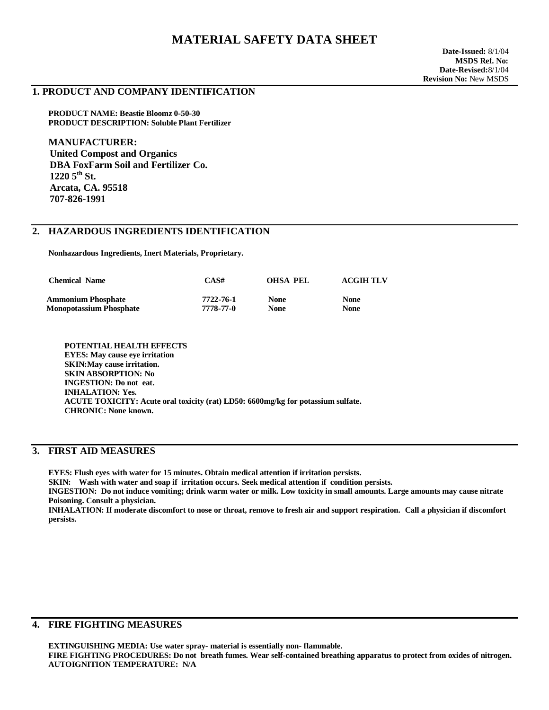# **MATERIAL SAFETY DATA SHEET**

### **1. PRODUCT AND COMPANY IDENTIFICATION**

**PRODUCT NAME: Beastie Bloomz 0-50-30 PRODUCT DESCRIPTION: Soluble Plant Fertilizer**

**MANUFACTURER: United Compost and Organics DBA FoxFarm Soil and Fertilizer Co. 1220 5th St. Arcata, CA. 95518 707-826-1991**

# **2. HAZARDOUS INGREDIENTS IDENTIFICATION**

**Nonhazardous Ingredients, Inert Materials, Proprietary.**

| <b>Chemical Name</b>           | CAS#      | <b>OHSA PEL</b> | <b>ACGIH TLV</b> |
|--------------------------------|-----------|-----------------|------------------|
| <b>Ammonium Phosphate</b>      | 7722-76-1 | <b>None</b>     | <b>None</b>      |
| <b>Monopotassium Phosphate</b> | 7778-77-0 | <b>None</b>     | None             |

 **POTENTIAL HEALTH EFFECTS EYES: May cause eye irritation SKIN:May cause irritation. SKIN ABSORPTION: No INGESTION: Do not eat. INHALATION: Yes. ACUTE TOXICITY: Acute oral toxicity (rat) LD50: 6600mg/kg for potassium sulfate. CHRONIC: None known.**

## **3. FIRST AID MEASURES**

**EYES: Flush eyes with water for 15 minutes. Obtain medical attention if irritation persists. SKIN: Wash with water and soap if irritation occurs. Seek medical attention if condition persists. INGESTION: Do not induce vomiting; drink warm water or milk. Low toxicity in small amounts. Large amounts may cause nitrate Poisoning. Consult a physician. INHALATION: If moderate discomfort to nose or throat, remove to fresh air and support respiration. Call a physician if discomfort** 

**persists.**

#### **4. FIRE FIGHTING MEASURES**

**EXTINGUISHING MEDIA: Use water spray- material is essentially non- flammable. FIRE FIGHTING PROCEDURES: Do not breath fumes. Wear self-contained breathing apparatus to protect from oxides of nitrogen. AUTOIGNITION TEMPERATURE: N/A**